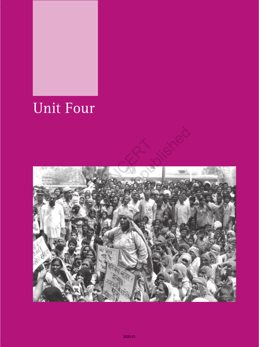

# Unit Four

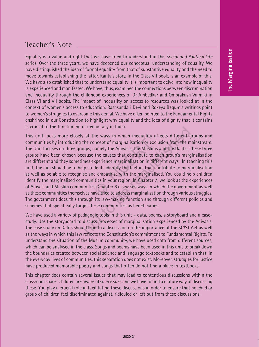## Teacher's Note

Equality is a value and right that we have tried to understand in the *Social and Political Life* series. Over the three years, we have deepened our conceptual understanding of equality. We have distinguished the idea of formal equality from that of substantive equality and the need to move towards establishing the latter. Kanta's story, in the Class VII book, is an example of this. We have also established that to understand equality it is important to delve into how inequality is experienced and manifested. We have, thus, examined the connections between discrimination and inequality through the childhood experiences of Dr Ambedkar and Omprakash Valmiki in Class VI and VII books. The impact of inequality on access to resources was looked at in the context of women's access to education. Rashsundari Devi and Rokeya Begum's writings point to women's struggles to overcome this denial. We have often pointed to the Fundamental Rights enshrined in our Constitution to highlight why equality and the idea of dignity that it contains is crucial to the functioning of democracy in India.

This unit looks more closely at the ways in which inequality affects different groups and communities by introducing the concept of marginalisation or exclusion from the mainstream. The Unit focuses on three groups, namely the Adivasis, the Muslims and the Dalits. These three groups have been chosen because the causes that contribute to each group's marginalisation are different and they sometimes experience marginalisation in different ways. In teaching this unit, the aim should be to help students identify the factors that contribute to marginalisation as well as be able to recognise and empathise with the marginalised. You could help children identify the marginalised communities in your region. In Chapter 7, we look at the experiences of Adivasi and Muslim communities. Chapter 8 discusses ways in which the government as well as these communities themselves have tried to address marginalisation through various struggles. The government does this through its law-making function and through different policies and schemes that specifically target these communities as beneficiaries. procept of marginalisation or exclude the Adivasis, the Muslims<br>the causes that contribute to experience marginalisation in diff<br>dents identify the factors that contribute<br>d empathise with the marginalis<br>ities in your regi I at the ways in which inequality affects different g<br>he concept of marginalisation or exclusion from the m<br>ups, namely the Adivasis, the Muslims and the Dalits. 1<br>ause the causes that contribute to each group's marg<br>mes e

We have used a variety of pedagogic tools in this unit – data, poems, a storyboard and a casestudy. Use the storyboard to discuss processes of marginalisation experienced by the Adivasis. The case study on Dalits should lead to a discussion on the importance of the SC/ST Act as well as the ways in which this law reflects the Constitution's commitment to Fundamental Rights. To understand the situation of the Muslim community, we have used data from different sources, which can be analysed in the class. Songs and poems have been used in this unit to break down the boundaries created between social science and language textbooks and to establish that, in the everyday lives of communities, this separation does not exist. Moreover, struggles for justice have produced memorable poetry and songs that often do not find a place in textbooks.

This chapter does contain several issues that may lead to contentious discussions within the classroom space. Children are aware of such issues and we have to find a mature way of discussing these. You play a crucial role in facilitating these discussions in order to ensure that no child or group of children feel discriminated against, ridiculed or left out from these discussions.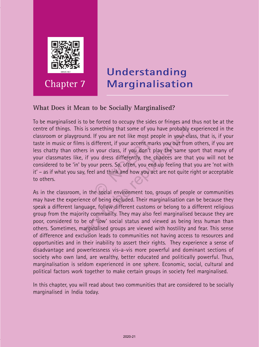

## **Understanding Marginalisation**

## **What Does it Mean to be Socially Marginalised?**

To be marginalised is to be forced to occupy the sides or fringes and thus not be at the centre of things. This is something that some of you have probably experienced in the classroom or playground. If you are not like most people in your class, that is, if your taste in music or films is different, if your accent marks you out from others, if you are less chatty than others in your class, if you don't play the same sport that many of your classmates like, if you dress differently, the chances are that you will not be considered to be 'in' by your peers. So, often, you end up feeling that you are 'not with it' – as if what you say, feel and think and how you act are not quite right or acceptable to others. Ifferent, if your accent mark<br>a your class, if you don't plane<br>ou dress differently, the charge pers. So, often, you end<br>and think and how you act<br>the social environment too, g is something that some of you have probably<br>nd. If you are not like most people in your cla<br>is different, if your accent marks you out from<br>rs in your class, if you don't play the same s<br>if you dress differently, the chanc

As in the classroom, in the social environment too, groups of people or communities may have the experience of being excluded. Their marginalisation can be because they speak a different language, follow different customs or belong to a different religious group from the majority community. They may also feel marginalised because they are poor, considered to be of 'low' social status and viewed as being less human than others. Sometimes, marginalised groups are viewed with hostility and fear. This sense of difference and exclusion leads to communities not having access to resources and opportunities and in their inability to assert their rights. They experience a sense of disadvantage and powerlessness vis-a-vis more powerful and dominant sections of society who own land, are wealthy, better educated and politically powerful. Thus, marginalisation is seldom experienced in one sphere. Economic, social, cultural and political factors work together to make certain groups in society feel marginalised.

In this chapter, you will read about two communities that are considered to be socially marginalised in India today.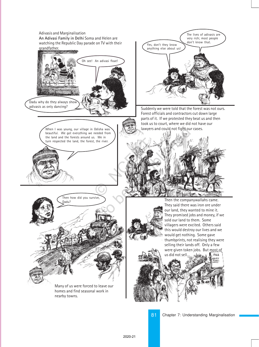

Chapter 7: Understanding Marginalisation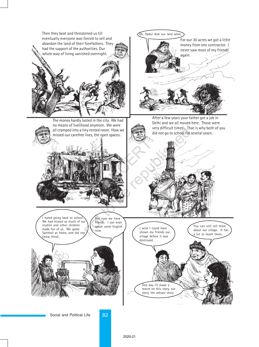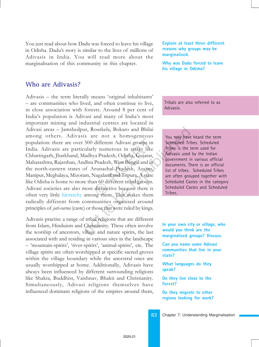You just read about how Dadu was forced to leave his village in Odisha. Daduís story is similar to the lives of millions of Adivasis in India. You will read more about the marginalisation of this community in this chapter.

#### **Who are Adivasis?**

Adivasis – the term literally means 'original inhabitants' – are communities who lived, and often continue to live, in close association with forests. Around 8 per cent of India's population is Adivasi and many of India's most important mining and industrial centres are located in Adivasi areas - Jamshedpur, Rourkela, Bokaro and Bhilai among others. Adivasis are not a homogeneous population: there are over 500 different Adivasi groups in India. Adivasis are particularly numerous in states like Chhattisgarh, Jharkhand, Madhya Pradesh, Odisha, Gujarat, Maharashtra, Rajasthan, Andhra Pradesh, West Bengal and in the north-eastern states of Arunachal Pradesh, Assam, Manipur, Meghalaya, Mizoram, Nagaland and Tripura. A state like Odisha is home to more than 60 different tribal groups. Adivasi societies are also most distinctive because there is often very little hierarchy among them. This makes them radically different from communities organised around principles of jati-varna (caste) or those that were ruled by kings. different Adivasi groups in<br>ly numerous in states like<br>ya Pradesh, Odisha, Gujarat,<br>Pradesh, West Bengal and in<br>runachal Pradesh, Assam,<br>Nagaland and Tripura. A state<br>an 60 different tribal groups.<br>distinctive because ther France Controllery<br>
In the republication of the same of the same of the same of the same of the same of the same of the same of the same of the same states in the same of the republished and the republished and Tripura. A

Adivasis practise a range of tribal religions that are different from Islam, Hinduism and Christianity. These often involve the worship of ancestors, village and nature spirits, the last associated with and residing in various sites in the landscape ñ ëmountain-spiritsí, ëriver-spiritsí, ëanimal-spiritsí, etc. The village spirits are often worshipped at specific sacred groves within the village boundary while the ancestral ones are usually worshipped at home. Additionally, Adivasis have always been influenced by different surrounding religions like Shakta, Buddhist, Vaishnav, Bhakti and Christianity. Simultaneously, Adivasi religions themselves have influenced dominant religions of the empires around them,

**Explain at least three different reasons why groups may be marginalised.**

**Why was Dadu forced to leave his village in Odisha?**

Tribals are also referred to as Adivasis.

You may have heard the term Scheduled Tribes. Scheduled Tribes is the term used for Adivasis used by the Indian government in various official documents. There is an official list of tribes. Scheduled Tribes are often grouped together with Scheduled Castes in the category Scheduled Castes and Scheduled Tribes.

**In your own city or village, who would you think are the marginalised groups? Discuss.**

**Can you name some Adivasi communities that live in your state?**

**What languages do they speak?**

**Do they live close to the forest?**

**Do they migrate to other regions looking for work?**

83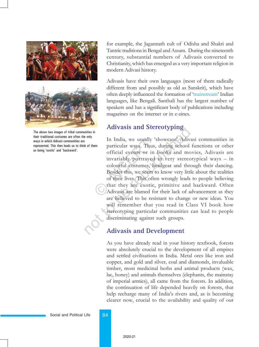

The above two images of tribal communities in their traditional costumes are often the only ways in which Adivasi communities are represented. This then leads us to think of them as being 'exotic' and 'backward'.

for example, the Jagannath cult of Odisha and Shakti and Tantric traditions in Bengal and Assam. During the nineteenth century, substantial numbers of Adivasis converted to Christianity, which has emerged as a very important religion in modern Adivasi history.

Adivasis have their own languages (most of them radically different from and possibly as old as Sanskrit), which have often deeply influenced the formation of 'mainstream' Indian languages, like Bengali. Santhali has the largest number of speakers and has a significant body of publications including magazines on the internet or in e-zines.

### **Adivasis and Stereotyping**

In India, we usually 'showcase' Adivasi communities in particular ways. Thus, during school functions or other official events or in books and movies, Adivasis are invariably portrayed in very stereotypical ways  $-$  in colourful costumes, headgear and through their dancing. Besides this, we seem to know very little about the realities of their lives. This often wrongly leads to people believing that they are exotic, primitive and backward. Often Adivasis are blamed for their lack of advancement as they are believed to be resistant to change or new ideas. You will remember that you read in Class VI book how stereotyping particular communities can lead to people discriminating against such groups. In India, we usually 's<br>particular ways. Thus,<br>official events or in i<br>invariably portrayed<br>colourful costumes, he<br>Besides this, we seem to<br>of their lives. This ofter<br>that they are exotic,<br>Adivasis are blamed for Adivasis and Stereotyping<br>
and Stereotyping<br>
and streety and stereotyping<br>
and the second of the particular ways. Thus, during school<br>
official events or in books and mo<br>
invariably portrayed in very stereot<br>
colourful cos

## **Adivasis and Development**

As you have already read in your history textbook, forests were absolutely crucial to the development of all empires and settled civilisations in India. Metal ores like iron and copper, and gold and silver, coal and diamonds, invaluable timber, most medicinal herbs and animal products (wax, lac, honey) and animals themselves (elephants, the mainstay of imperial armies), all came from the forests. In addition, the continuation of life depended heavily on forests, that help recharge many of India's rivers and, as is becoming clearer now, crucial to the availability and quality of our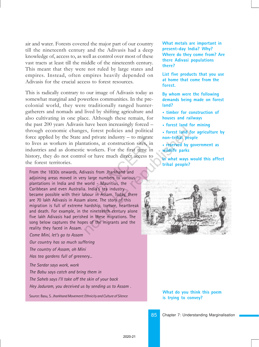air and water. Forests covered the major part of our country till the nineteenth century and the Adivasis had a deep knowledge of, access to, as well as control over most of these vast tracts at least till the middle of the nineteenth century. This meant that they were not ruled by large states and empires. Instead, often empires heavily depended on Adivasis for the crucial access to forest resources.

This is radically contrary to our image of Adivasis today as somewhat marginal and powerless communities. In the precolonial world, they were traditionally ranged huntergatherers and nomads and lived by shifting agriculture and also cultivating in one place. Although these remain, for the past  $200$  years Adivasis have been increasingly forced  $$ through economic changes, forest policies and political force applied by the State and private industry  $-$  to migrate to lives as workers in plantations, at construction sites, in industries and as domestic workers. For the first time in history, they do not control or have much direct access to the forest territories. This area in the first time in<br>there. For the first time in<br>have much direct access to<br>is from Jharkhand and<br>ge numbers to various<br>d - Mauritius, the<br>lia's tea industry<br>in Assam. Today, there

From the 1830s onwards, Adivasis from Jharkhand and adjoining areas moved in very large numbers to various plantations in India and the world - Mauritius, the Caribbean and even Australia. India's tea industry became possible with their labour in Assam. Today, there are 70 lakh Adivasis in Assam alone. The story of this migration is full of extreme hardship, torture, heartbreak and death. For example, in the nineteenth century alone five lakh Adivasis had perished in these migrations. The song below captures the hopes of the migrants and the reality they faced in Assam. Experience to the migrants and the migrants and the migrants and political and private industry - to migrate to the risk and for the risk of the first time in **wildlife** parks is for the first time in **wildlife** parks of t

*Come Mini, let's go to Assam*

*Our country has so much suffering*

*The country of Assam, oh Mini*

*Has tea gardens full of greenery...*

*The Sardar says work, work*

*The Babu says catch and bring them in*

*The Saheb says I'll take off the skin of your back*

*Hey Jaduram, you deceived us by sending us to Assam* .

Source: Basu, S. *Jharkhand Movement: Ethnicity and Culture of Silence*

**What metals are important in present-day India? Why? Where do they come from? Are there Adivasi populations there?**

**List five products that you use at home that come from the forest.**

**By whom were the following demands being made on forest land?**

**· timber for construction of houses and railways**

**· forest land for mining**

**· forest land for agriculture by non-tribal people**

**· reserved by government as wildlife parks**

**In what ways would this affect tribal people?**



#### **What do you think this poem is trying to convey?**

85

Chapter 7: Understanding Marginalisation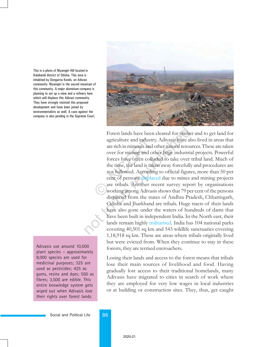This is a photo of Niyamgiri Hill located in Kalahandi district of Odisha. This area is inhabited by Dongarria Konds, an Adivasi community. Niyamgiri is the sacred mountain of this community. A major aluminium company is planning to set up a mine and a refinery here which will displace this Adivasi community. They have strongly resisted this proposed development and have been joined by environmentalists as well. A case against the company is also pending in the Supreme Court.

Adivasis use around 10,000 plant species – approximately 8,000 species are used for medicinal purposes; 325 are used as pesticides; 425 as gums, resins and dyes; 550 as fibres; 3,500 are edible. This entire knowledge system gets wiped out when Adivasis lose their rights over forest lands.



Forest lands have been cleared for timber and to get land for agriculture and industry. Adivasis have also lived in areas that are rich in minerals and other natural resources. These are taken over for mining and other large industrial projects. Powerful forces have often colluded to take over tribal land. Much of the time, the land is taken away forcefully and procedures are not followed. According to official figures, more than 50 per cent of persons displaced due to mines and mining projects are tribals. Another recent survey report by organisations working among Adivasis shows that 79 per cent of the persons displaced from the states of Andhra Pradesh, Chhattisgarh, Odisha and Jharkhand are tribals. Huge tracts of their lands have also gone under the waters of hundreds of dams that have been built in independent India. In the North east, their lands remain highly militarised. India has 104 national parks covering 40,501 sq km and 543 wildlife sanctuaries covering 1,18,918 sq km. These are areas where tribals originally lived but were evicted from. When they continue to stay in these forests, they are termed encroachers. agriculture and industry.<br>
are rich in minerals and ot<br>
over for mining and oth<br>
forces have often collud<br>
the time, the land is take<br>
not followed. According<br>
cent of persons displace<br>
are tribals. Another rec<br>
working am Forest lands have been cleared for timbe<br>agriculture and industry. Adivasis have al<br>are rich in minerals and other natural resources<br>over for mining and other large industri:<br>forces have often colluded to take over<br>the tim

> Losing their lands and access to the forest means that tribals lose their main sources of livelihood and food. Having gradually lost access to their traditional homelands, many Adivasis have migrated to cities in search of work where they are employed for very low wages in local industries or at building or construction sites. They, thus, get caught

Social and Political Life 86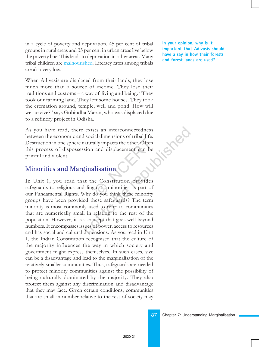in a cycle of poverty and deprivation. 45 per cent of tribal groups in rural areas and 35 per cent in urban areas live below the poverty line. This leads to deprivation in other areas. Many tribal children are malnourished. Literacy rates among tribals are also very low.

When Adivasis are displaced from their lands, they lose much more than a source of income. They lose their traditions and customs  $-$  a way of living and being. "They took our farming land. They left some houses. They took the cremation ground, temple, well and pond. How will we survive?" says Gobindha Maran, who was displaced due to a refinery project in Odisha.

As you have read, there exists an interconnectedness between the economic and social dimensions of tribal life. Destruction in one sphere naturally impacts the other. Often this process of dispossession and displacement can be painful and violent. ally impacts the other. Often<br>and displacement can be<br>**lisation**<br>the Constitution provides<br>guistic minorities as part of<br>do you think these minority

## **Minorities and Marginalisation**

In Unit 1, you read that the Constitution provides safeguards to religious and linguistic minorities as part of our Fundamental Rights. Why do you think these minority groups have been provided these safeguards? The term minority is most commonly used to refer to communities that are numerically small in relation to the rest of the population. However, it is a concept that goes well beyond numbers. It encompasses issues of power, access to resources and has social and cultural dimensions. As you read in Unit 1, the Indian Constitution recognised that the culture of the majority influences the way in which society and government might express themselves. In such cases, size can be a disadvantage and lead to the marginalisation of the relatively smaller communities. Thus, safeguards are needed to protect minority communities against the possibility of being culturally dominated by the majority. They also protect them against any discrimination and disadvantage that they may face. Given certain conditions, communities that are small in number relative to the rest of society may exists an interconnectedness<br>social dimensions of tribal life.<br>aturally impacts the other. Often<br>sion and displacement can be<br>**simalisation**<br>that the Constitution provides<br>linguistic minorities as part of<br>Thy do you think

**In your opinion, why is it important that Adivasis should have a say in how their forests and forest lands are used?**

87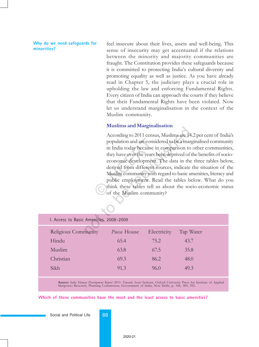**Why do we need safeguards for minorities?**

feel insecure about their lives, assets and well-being. This sense of insecurity may get accentuated if the relations between the minority and majority communities are fraught. The Constitution provides these safeguards because it is committed to protecting India's cultural diversity and promoting equality as well as justice. As you have already read in Chapter 5, the judiciary plays a crucial role in upholding the law and enforcing Fundamental Rights. Every citizen of India can approach the courts if they believe that their Fundamental Rights have been violated. Now let us understand marginalisation in the context of the Muslim community.

#### Muslims and Marginalisation

According to 2011 census, Muslims are 14.2 per cent of Indiaís population and are considered to be a marginalised community in India today because in comparison to other communities, they have over the years been deprived of the benefits of socioeconomic development. The data in the three tables below, derived from different sources, indicate the situation of the Muslim community with regard to basic amenities, literacy and public employment. Read the tables below. What do you think these tables tell us about the socio-economic status of the Muslim community? population and are considered in India today because in<br>they have over the years b<br>economic development.<br>derived from different s<br>Muslim community with<br>public employment. Re<br>think these tables tell u<br>of the Muslim commun According to 2011 census, Muslims are 14<br>population and are considered to be a mar<br>in India today because in comparison to<br>they have over the years been deprived of<br>economic development. The data in the<br>derived from differ

| I. Access to Basic Amenities, 2008-2009 |                    |             |           |  |  |  |  |
|-----------------------------------------|--------------------|-------------|-----------|--|--|--|--|
| Religious Community                     | <i>Pucca</i> House | Electricity | Tap Water |  |  |  |  |
| Hindu                                   | 65.4               | 75.2        | 43.7      |  |  |  |  |
| Muslim                                  | 63.8               | 67.5        | 35.8      |  |  |  |  |
| Christian                               | 69.3               | 86.2        | 48.0      |  |  |  |  |
| Sikh                                    | 91.3               | 96.0        | 49.3      |  |  |  |  |
|                                         |                    |             |           |  |  |  |  |

Source: India Human Development Report 2011: Towards Social Inclusion, Oxford University Press for Institute of Applied Manpower Research, Planning Commission, Government of India, New Delhi, p. 346, 389, 392.

#### **Which of these communities have the most and the least access to basic amenities?**

Social and Political Life 88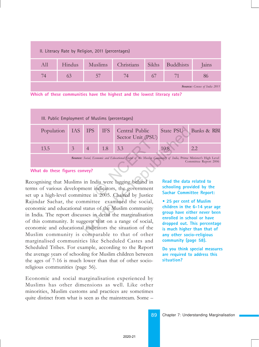| II. Literacy Rate by Religion, 2011 (percentages) |        |                |            |               |           |       |
|---------------------------------------------------|--------|----------------|------------|---------------|-----------|-------|
| All                                               | Hindus | <b>Muslims</b> | Christians | Sikhs         | Buddhists | Jains |
| 74                                                |        | 57             | 74         | $\frac{6}{ }$ |           |       |
| Source: Census of India 2011                      |        |                |            |               |           |       |



| III. Public Employment of Muslims (percentages)                                                                                                                                                                                                                         |                |                |            |                                     |                  |             |
|-------------------------------------------------------------------------------------------------------------------------------------------------------------------------------------------------------------------------------------------------------------------------|----------------|----------------|------------|-------------------------------------|------------------|-------------|
| Population                                                                                                                                                                                                                                                              | IAS            | <b>IPS</b>     | <b>IFS</b> | Central Public<br>Sector Unit (PSU) | <b>State PSU</b> | Banks & RBI |
| 13.5                                                                                                                                                                                                                                                                    | $\mathfrak{Z}$ | $\overline{4}$ | 1.8        | 3.3                                 | 10.8             | 2.2         |
| <b>Source:</b> Social, Economic and Educational Status of the Muslim Community of India, Prime Minister's High Level<br>Committee Report 2006                                                                                                                           |                |                |            |                                     |                  |             |
| What do these figures convey?                                                                                                                                                                                                                                           |                |                |            |                                     |                  |             |
| Read the data related to<br>ecognising that Muslims in India were lagging behind in<br>schooling provided by the<br>rms of various development indicators, the government<br><b>Sachar Committee Report:</b><br>t up a high-level committee in 2005. Chaired by Justice |                |                |            |                                     |                  |             |

#### **What do these figures convey?**

Recognising that Muslims in India were lagging behind in terms of various development indicators, the government set up a high-level committee in 2005. Chaired by Justice Rajindar Sachar, the committee examined the social, economic and educational status of the Muslim community in India. The report discusses in detail the marginalisation of this community. It suggests that on a range of social, economic and educational indicators the situation of the Muslim community is comparable to that of other marginalised communities like Scheduled Castes and Scheduled Tribes. For example, according to the Report the average years of schooling for Muslim children between the ages of 7-16 is much lower than that of other socioreligious communities (page 56). IPS IFS Central Public State PSU<br>
Sector Unit (PSU)<br>
4 1.8 3.3 10.8<br>
Social, Economic and Educational Status of the Muslim Community of India, Prime Noovey?<br>
in India were lagging behind in Read the data<br>
nent indicators,

Economic and social marginalisation experienced by Muslims has other dimensions as well. Like other minorities, Muslim customs and practices are sometimes quite distinct from what is seen as the mainstream. Some -

**• 25 per cent of Muslim children in the 6-14 year age group have either never been enrolled in school or have dropped out. This percentage is much higher than that of any other socio-religious community (page 58).**

**Do you think special measures are required to address this situation?**

89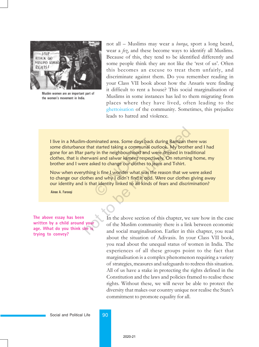

Muslim women are an important part of the womenís movement in India.

not all – Muslims may wear a *burqa*, sport a long beard, wear a fez, and these become ways to identify all Muslims. Because of this, they tend to be identified differently and some people think they are not like the 'rest of us'. Often this becomes an excuse to treat them unfairly, and discriminate against them. Do you remember reading in your Class VII book about how the Ansaris were finding it difficult to rent a house? This social marginalisation of Muslims in some instances has led to them migrating from places where they have lived, often leading to the ghettoisation of the community. Sometimes, this prejudice leads to hatred and violence.

I live in a Muslim-dominated area. Some days back during Ramzan there was some disturbance that started taking a communal outlook. My brother and I had gone for an Iftar party in the neighbourhood and were dressed in traditional clothes, that is sherwani and salwar kameez respectively. On returning home, my brother and I were asked to change our clothes to jeans and T-shirt. minated area. Some days back definited taking a communal out<br>y in the neighbourhood and we<br>ani and salwar kameez respectived to change our clothes to jea<br>g is fine I wonder what was the<br>i and why I didn't find it odd. V<br>at not the total transformation and solven the Muslim and solven that started taking a communal outlook. My brother party in the neighbourhood and were dressed in trace<br>rewani and salwar kameez respectively. On returning re a

Now when everything is fine I wonder what was the reason that we were asked to change our clothes and why I didn't find it odd. Were our clothes giving away our identity and is that identity linked to all kinds of fears and discrimination?

Ainee A. Farooqi

**The above essay has been written by a child around your age. What do you think she is trying to convey?**

In the above section of this chapter, we saw how in the case of the Muslim community there is a link between economic and social marginalisation. Earlier in this chapter, you read about the situation of Adivasis. In your Class VII book, you read about the unequal status of women in India. The experiences of all these groups point to the fact that marginalisation is a complex phenomenon requiring a variety of strategies, measures and safeguards to redress this situation. All of us have a stake in protecting the rights defined in the Constitution and the laws and policies framed to realise these rights. Without these, we will never be able to protect the diversity that makes our country unique nor realise the State's commitment to promote equality for all.

Social and Political Life 90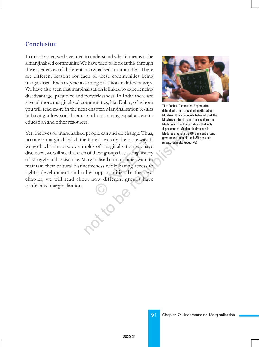### **Conclusion**

In this chapter, we have tried to understand what it means to be a marginalised community. We have tried to look at this through the experiences of different marginalised communities. There are different reasons for each of these communities being marginalised. Each experiences marginalisation in different ways. We have also seen that marginalisation is linked to experiencing disadvantage, prejudice and powerlessness. In India there are several more marginalised communities, like Dalits, of whom you will read more in the next chapter. Marginalisation results in having a low social status and not having equal access to education and other resources.

Yet, the lives of marginalised people can and do change. Thus, no one is marginalised all the time in exactly the same way. If we go back to the two examples of marginalisation we have discussed, we will see that each of these groups has a long history of struggle and resistance. Marginalised communities want to maintain their cultural distinctiveness while having access to rights, development and other opportunities. In the next chapter, we will read about how different groups have confronted marginalisation. ne in exactly the same way. If<br>s of marginalisation we have<br>these groups has a long history<br>nalised communities want to<br>eness while having access to<br>opportunities. In the next<br>now different groups have Prophe can and do change. Thus,<br>
the rent of Muslim<br>
e time in exactly the same way. If<br>
the same way. If<br>
subsets a proportion of these groups has a long history<br>
farginalised communities want to<br>
citiveness while having



The Sachar Committee Report also debunked other prevalent myths about Muslims. It is commonly believed that the Muslims prefer to send their children to Madarsas. The figures show that only 4 per cent of Muslim children are in Madarsas, where as 66 per cent attend government schools and 30 per cent private schools. (page 75)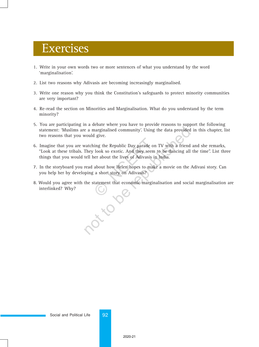## Exercises

- 1. Write in your own words two or more sentences of what you understand by the word 'marginalisation'.
- 2. List two reasons why Adivasis are becoming increasingly marginalised.
- 3. Write one reason why you think the Constitution's safeguards to protect minority communities are very important?
- 4. Re-read the section on Minorities and Marginalisation. What do you understand by the term minority?
- 5. You are participating in a debate where you have to provide reasons to support the following statement: 'Muslims are a marginalised community'. Using the data provided in this chapter, list two reasons that you would give.
- 6. Imagine that you are watching the Republic Day parade on TV with a friend and she remarks, "Look at these tribals. They look so exotic. And they seem to be dancing all the time". List three things that you would tell her about the lives of Adivasis in India. ling the Republic Day parade on<br>look so exotic. And they seem<br>ner about the lives of Adivasis in<br>about how Helen hopes to make<br>a short story on Adivasis?<br>tatement that economic margina
- 7. In the storyboard you read about how Helen hopes to make a movie on the Adivasi story. Can you help her by developing a short story on Adivasis?
- 8. Would you agree with the statement that economic marginalisation and social marginalisation are interlinked? Why?

nto be